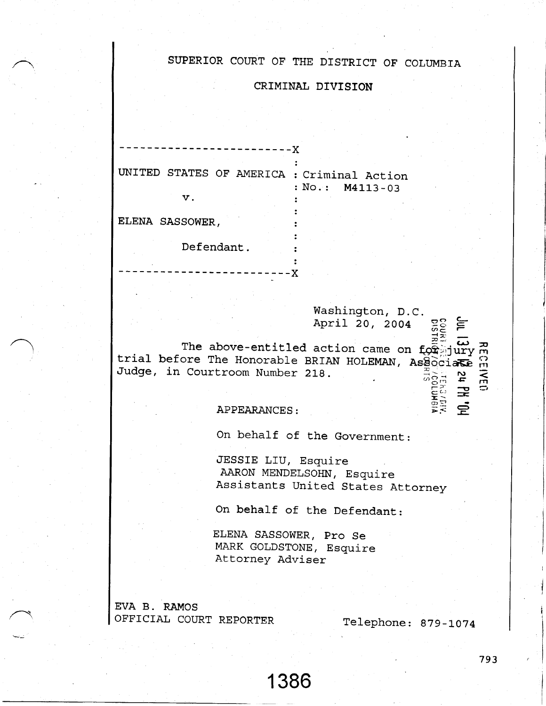## SUPERIOR COURT OF THE DISTRICT OF COLUMBIA

## CRIMINAL DIVISION

| UNITED<br>STATES OF AMERICA : Criminal Action | : $No.: M4113-03$ |
|-----------------------------------------------|-------------------|
| v.                                            |                   |
| ELENA SASSOWER,                               |                   |
| Defendant.                                    |                   |

The above-entitled action came on founding the above-entitled action came on founding the research of the Honorable BRIAN HOLEMAN, Associate Formula .Tudge, in Courtroom Number 2Lg. April 20, 2004  $\tilde{=}$  :  $rac{20}{x}$ 

X

## APPEARANCES:

On behalf of the Government:

.IESSIE LIU, Esquire AARON MENDELSOHN, Esquire Assistants United States Attorney

Washington, D.C.

On behalf of the Defendant:

ELENA SASSOWER, Pro Se MARK GOLDSTONE, Esquire Attorney Adviser

1 386

EVA B. RAMOS OFFICIAL COURT REPORTER

Telephone: 979-L074

 $\sum_{i=1}^{\infty}$ 

793

 $\bf\Xi$  $\Xi_c^{\Sigma}$  ,  $\Xi$ L." :  $\overline{\textbf{r}}$  . 등<br>도 도<br>도 도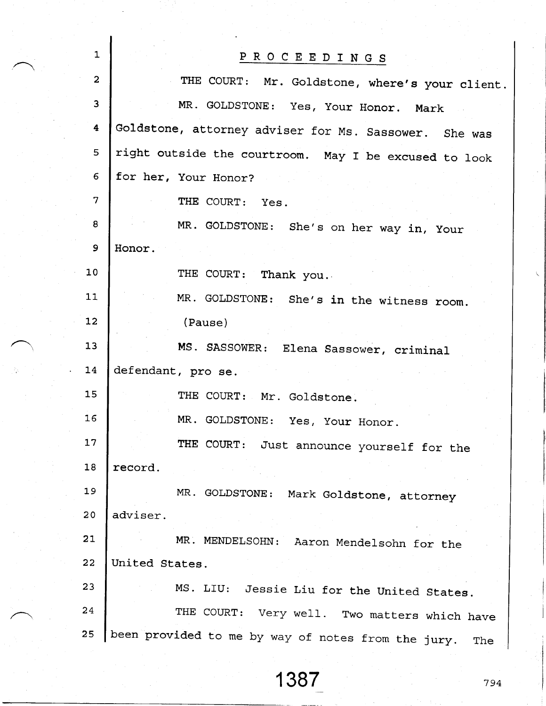| $\mathbf{1}$        | PROCEEDINGS                                               |
|---------------------|-----------------------------------------------------------|
| $\overline{a}$      | THE COURT: Mr. Goldstone, where's your client.            |
| 3                   | MR. GOLDSTONE: Yes, Your Honor. Mark                      |
| $\ddot{\textbf{4}}$ | Goldstone, attorney adviser for Ms. Sassower. She was     |
| 5                   | right outside the courtroom. May I be excused to look     |
| 6                   | for her, Your Honor?                                      |
| $\overline{7}$      | THE COURT: Yes.                                           |
| 8                   | MR. GOLDSTONE: She's on her way in, Your                  |
| 9                   | Honor.                                                    |
| 10 <sub>1</sub>     | THE COURT: Thank you.                                     |
| 11                  | MR. GOLDSTONE: She's in the witness room.                 |
| 12                  | (Pause)                                                   |
| 13                  | MS. SASSOWER: Elena Sassower, criminal                    |
| 14                  | defendant, pro se.                                        |
| 15                  | THE COURT: Mr. Goldstone.                                 |
| 16                  | MR. GOLDSTONE: Yes, Your Honor.                           |
| 17                  | THE COURT: Just announce yourself for the                 |
| 18                  | record.                                                   |
| 19                  | MR. GOLDSTONE: Mark Goldstone, attorney                   |
| 20                  | adviser.                                                  |
| 21                  | MR. MENDELSOHN: Aaron Mendelsohn for the                  |
| 22                  | United States.                                            |
| 23                  | MS. LIU: Jessie Liu for the United States.                |
| 24                  | THE COURT: Very well. Two matters which have              |
| 25                  | been provided to me by way of notes from the jury.<br>The |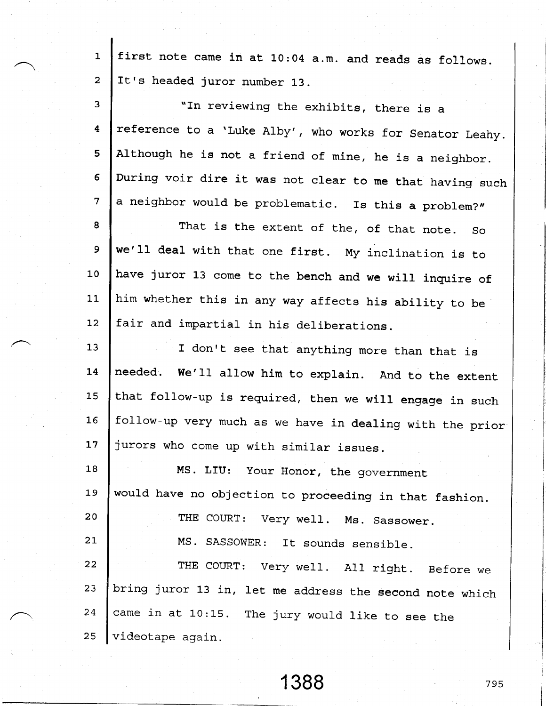1 2 first note came in at 10:04 a.m. and reads as follows. It's headed juror number 13.

| 3                | "In reviewing the exhibits, there is a                   |
|------------------|----------------------------------------------------------|
| $\boldsymbol{4}$ | reference to a 'Luke Alby', who works for Senator Leahy. |
| 5                | Although he is not a friend of mine, he is a neighbor.   |
| $6\overline{6}$  | During voir dire it was not clear to me that having such |
| $\overline{7}$   | a neighbor would be problematic. Is this a problem?"     |
| 8                | That is the extent of the, of that note. So              |
| 9                | we'll deal with that one first. My inclination is to     |
| 10               | have juror 13 come to the bench and we will inquire of   |
| 11               | him whether this in any way affects his ability to be    |
| 12               | fair and impartial in his deliberations.                 |
| 13               | I don't see that anything more than that is              |
| 14               | needed. We'll allow him to explain. And to the extent    |
| 15               | that follow-up is required, then we will engage in such  |
| 16               | follow-up very much as we have in dealing with the prior |
| 17               | jurors who come up with similar issues.                  |
| 18               | MS. LIU: Your Honor, the government                      |
| 19               | would have no objection to proceeding in that fashion.   |
| 20               | THE COURT: Very well. Ms. Sassower.                      |
| 21               | MS. SASSOWER: It sounds sensible.                        |
| 22               | THE COURT: Very well. All right. Before we               |
| 23               | bring juror 13 in, let me address the second note which  |
| 24               | came in at 10:15. The jury would like to see the         |
| 25               | videotape again.                                         |

1 388 <sup>795</sup>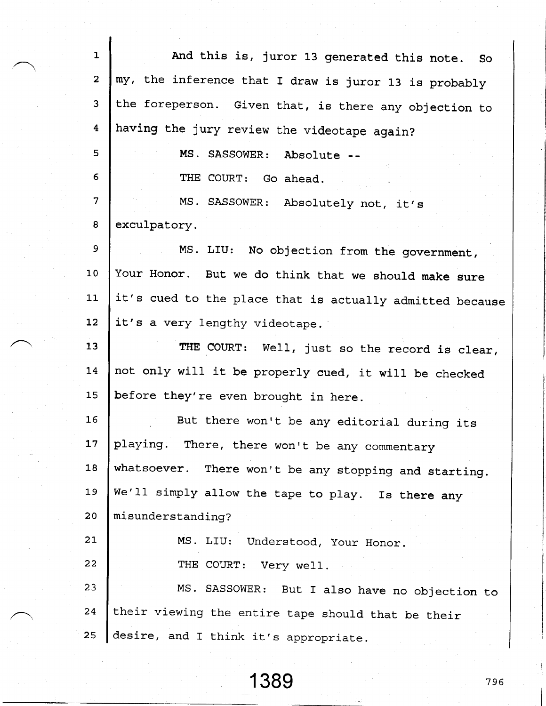| $\mathbf{1}$            | And this is, juror 13 generated this note. So            |
|-------------------------|----------------------------------------------------------|
| $\overline{2}$          | my, the inference that I draw is juror 13 is probably    |
| 3                       | the foreperson. Given that, is there any objection to    |
| $\overline{\mathbf{4}}$ | having the jury review the videotape again?              |
| 5                       | MS. SASSOWER: Absolute --                                |
| 6                       | THE COURT: Go ahead.                                     |
| 7                       | MS. SASSOWER: Absolutely not, it's                       |
| 8                       | exculpatory.                                             |
| 9                       | MS. LIU: No objection from the government,               |
| 10                      | Your Honor. But we do think that we should make sure     |
| 11                      | it's cued to the place that is actually admitted because |
| 12                      | it's a very lengthy videotape.                           |
| 13                      | THE COURT: Well, just so the record is clear,            |
| 14                      | not only will it be properly cued, it will be checked    |
| 15                      | before they're even brought in here.                     |
| 16                      | But there won't be any editorial during its              |
| 17                      | playing. There, there won't be any commentary            |
| 18                      | whatsoever. There won't be any stopping and starting.    |
| 19                      | We'll simply allow the tape to play. Is there any        |
| 20                      | misunderstanding?                                        |
| 21                      | MS. LIU: Understood, Your Honor.                         |
| 22                      | THE COURT: Very well.                                    |
| 23                      | MS. SASSOWER: But I also have no objection to            |
| 24                      | their viewing the entire tape should that be their       |
| 25                      | desire, and I think it's appropriate.                    |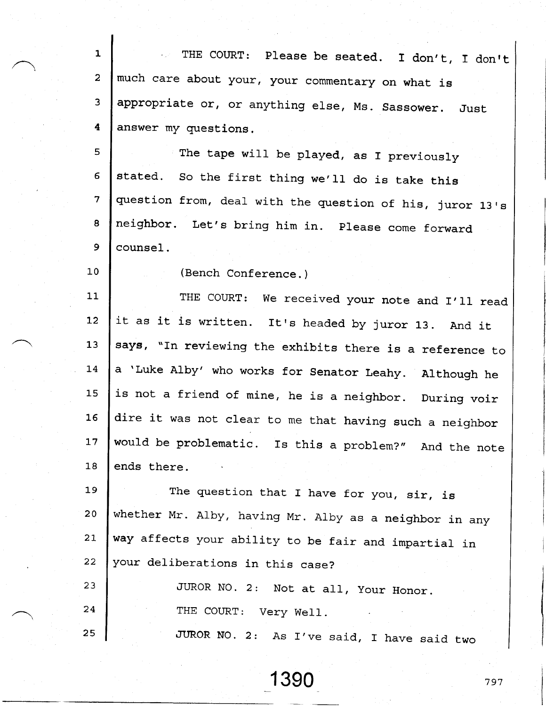1 2 3 4 THE COURT: Please be seated. I don't, I don't much care about your, your commentary on what is appropriate or, or anything else, Ms. Sassower. Just answer my questions.

5 6 .7  $\bf{B}$ 9 The tape will be played, as I previously stated. So the first thing we'll do is take this question from, deal with the question of his, juror 13's neighbor. Let's bring him in. Please come forward counsel.

(Bench Conference. )

1\_0

1l-1,2  $13$ l 4 15 1 6 17 **18** THE COURT: We received your note and I'll read it as it is written. It's headed by juror 13. And it says, "In reviewing the exhibits there is a reference to <sup>a</sup>'Luke Alby' who works for senator Leahy. Although he is not a friend of mine, he is a neighbor. During voir dire it was not clear to me that having such a neighbor would be problematic. Is this a problem?" And the note ends there

l\_9 2 0 21, z z The question that I have for you, sir, is whether Mr. Alby, having Mr. Alby as a neighbor in any way affects your ability to be fair and impartial in your deliberations in this case?

| 23 | JUROR NO. 2: Not at all, Your Honor.       |
|----|--------------------------------------------|
| 24 | THE COURT: Very Well.                      |
| 25 | JUROR NO. 2: As I've said, I have said two |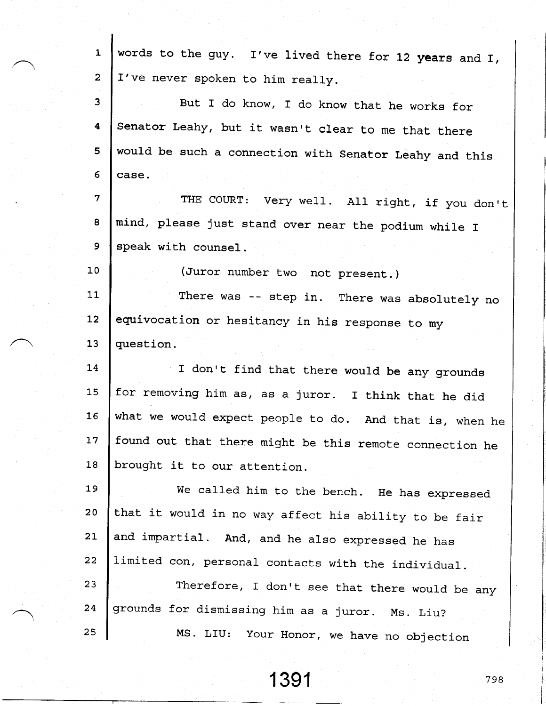| $\mathbf{1}$    | words to the guy. I've lived there for 12 years and I,  |
|-----------------|---------------------------------------------------------|
| $\overline{a}$  | I've never spoken to him really.                        |
| $\mathbf{3}$    | But I do know, I do know that he works for              |
| 4               |                                                         |
|                 | Senator Leahy, but it wasn't clear to me that there     |
| 5               | would be such a connection with Senator Leahy and this  |
| 6               | case.                                                   |
| $\overline{7}$  | THE COURT: Very well. All right, if you don't           |
| 8               | mind, please just stand over near the podium while I    |
| 9               | speak with counsel.                                     |
| 10 <sub>1</sub> | (Juror number two not present.)                         |
| 11              | There was -- step in. There was absolutely no           |
| 12              | equivocation or hesitancy in his response to my         |
| 13              | question.                                               |
| 14              | I don't find that there would be any grounds            |
| 15              | for removing him as, as a juror. I think that he did    |
| 16              | what we would expect people to do. And that is, when he |
| 17              | found out that there might be this remote connection he |
| 18              | brought it to our attention.                            |
| 19              | We called him to the bench. He has expressed            |
| 20              | that it would in no way affect his ability to be fair   |
| 21              | and impartial. And, and he also expressed he has        |
| 22              | limited con, personal contacts with the individual.     |
| 23              | Therefore, I don't see that there would be any          |
| 24              | grounds for dismissing him as a juror. Ms. Liu?         |
| 25              | MS. LIU: Your Honor, we have no objection               |

1 391 798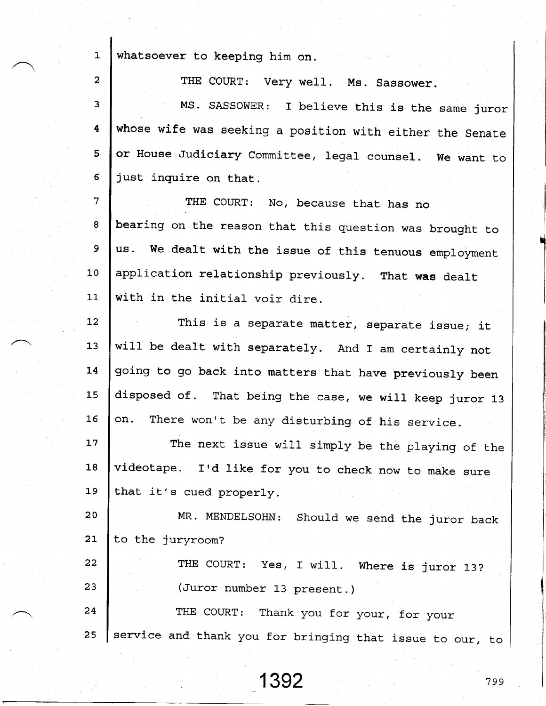$\mathbf{1}$ 2 3 4 5 6 7  $\mathbf{8}$ 9  $10$ 1l\_  $12.$ 13 L4 1 5 1 6 17 1 8 1 9 2 0 21  $22^{2}$ 2 3 2 4 2 5 whatsoever to keeping him on. THE COURT: Very well. Ms. Sassower. MS. SASSOWER: I believe this is the same juror whose wife was seeking a position with either the Senate or House Judiciary Committee, legal counsel. We want to just inquire on that,. THE COURT: No, because that has no bearing on the reason that this question was brought to us. we dealt with the issue of this tenuous employment application relationship previously. That was dealt with in the initial voir dire This is a separate matter, separate issue; it will be dealt with separately. And I am certainly not going to go back into matters that have previously been disposed of. That being the case, we will keep juror 13 on. There won't be any disturbing of his service The next issue will simply be the playing of the videotape. I'd like for you to check now to make sure that it's cued properly. MR. MENDELSOHN: Should we send the juror back to the juryroom? THE COURT: Yes, I will. Where is juror 13? (Juror number 13 present.) THE COURT: Thank you for your, for your service and thank you for bringing that issue to our, to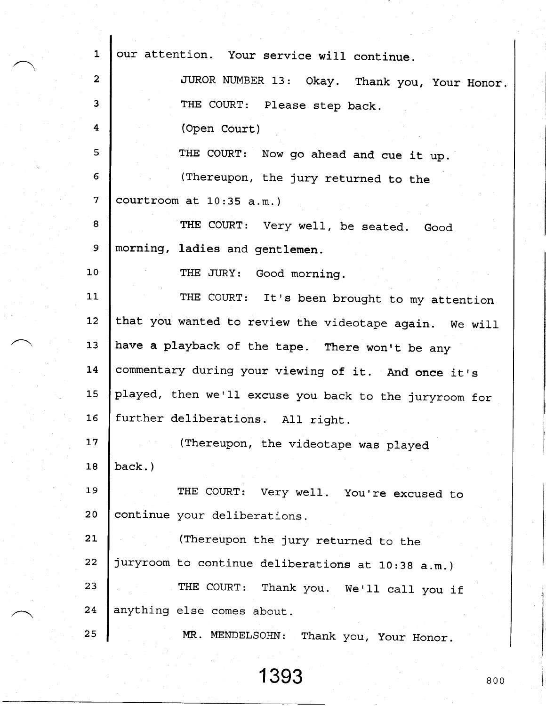| $\mathbf{1}$    | our attention. Your service will continue.             |
|-----------------|--------------------------------------------------------|
| $\mathbf{2}$    | JUROR NUMBER 13: Okay. Thank you, Your Honor.          |
| 3               | THE COURT: Please step back.                           |
| 4               | (Open Court)                                           |
| 5               | THE COURT: Now go ahead and cue it up.                 |
| 6               | (Thereupon, the jury returned to the                   |
| $\overline{7}$  | courtroom at 10:35 a.m.)                               |
| 8               | THE COURT: Very well, be seated. Good                  |
| 9               | morning, ladies and gentlemen.                         |
| 10              | THE JURY: Good morning.                                |
| 11              | THE COURT: It's been brought to my attention           |
| 12 <sub>1</sub> | that you wanted to review the videotape again. We will |
| 13              | have a playback of the tape. There won't be any        |
| 14              | commentary during your viewing of it. And once it's    |
| 15              | played, then we'll excuse you back to the juryroom for |
| 16              | further deliberations. All right.                      |
| 17              | (Thereupon, the videotape was played                   |
| 18              | back.)                                                 |
| 19              | THE COURT: Very well. You're excused to                |
| 20 <sub>o</sub> | continue your deliberations.                           |
| 21              | (Thereupon the jury returned to the                    |
| 22              | juryroom to continue deliberations at 10:38 a.m.)      |
| 23              | THE COURT: Thank you. We'll call you if                |
| 24              | anything else comes about.                             |
| 25              | MR. MENDELSOHN: Thank you, Your Honor.                 |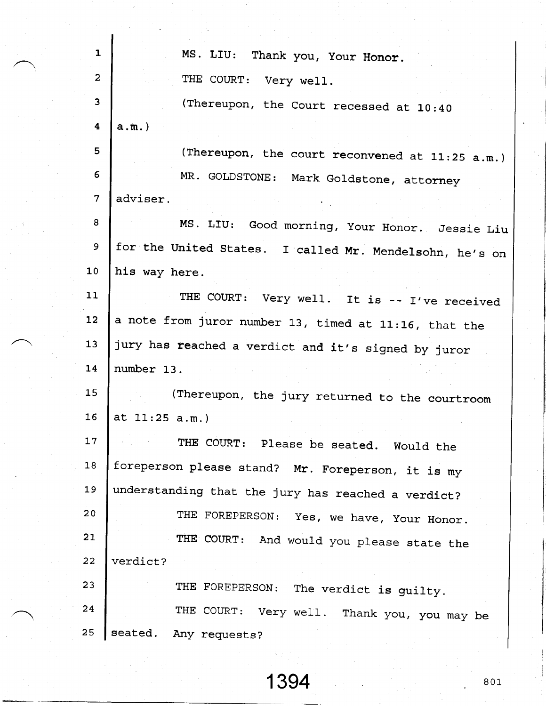| $\mathbf{1}$            | MS. LIU: Thank you, Your Honor.                         |
|-------------------------|---------------------------------------------------------|
| $\overline{2}$          | THE COURT: Very well.                                   |
| 3                       | (Thereupon, the Court recessed at 10:40                 |
| $\overline{\mathbf{4}}$ | $a.m.$ )                                                |
| 5                       | (Thereupon, the court reconvened at 11:25 a.m.)         |
| 6                       | MR. GOLDSTONE: Mark Goldstone, attorney                 |
| 7                       | adviser.                                                |
| 8                       | MS. LIU: Good morning, Your Honor. Jessie Liu           |
| 9                       | for the United States. I called Mr. Mendelsohn, he's on |
| 10                      | his way here.                                           |
| 11                      | THE COURT: Very well. It is -- I've received            |
| 12                      | a note from juror number 13, timed at 11:16, that the   |
| 13                      | jury has reached a verdict and it's signed by juror     |
| 14                      | number 13.                                              |
| 15                      | (Thereupon, the jury returned to the courtroom          |
| 16                      | at $11:25$ a.m.)                                        |
| 17                      | THE COURT: Please be seated. Would the                  |
| 18                      | foreperson please stand? Mr. Foreperson, it is my       |
| 19                      | understanding that the jury has reached a verdict?      |
| 20 <sub>o</sub>         | THE FOREPERSON: Yes, we have, Your Honor.               |
| 21                      | THE COURT: And would you please state the               |
| 22                      | verdict?                                                |
| 23                      | THE FOREPERSON:<br>The verdict is guilty.               |
| 24                      | THE COURT: Very well. Thank you, you may be             |
| 25                      | seated.<br>Any requests?                                |
|                         |                                                         |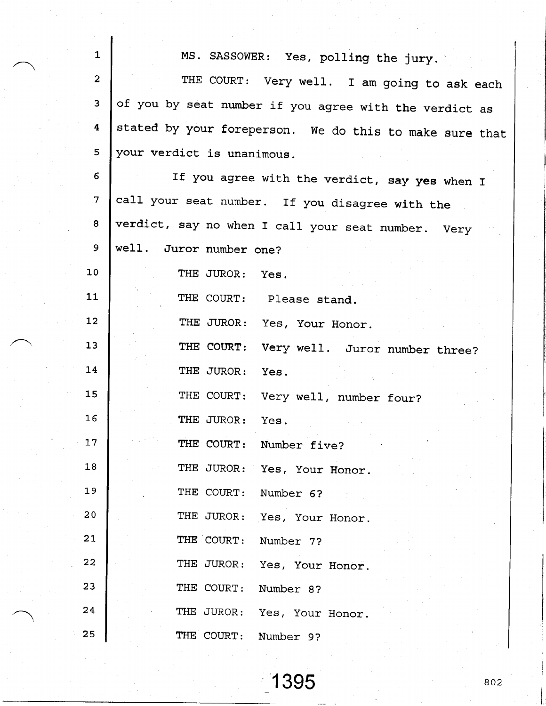| $\overline{1}$  | MS. SASSOWER: Yes, polling the jury.                    |
|-----------------|---------------------------------------------------------|
| $\mathbf{2}$    | THE COURT: Very well. I am going to ask each            |
| 3               | of you by seat number if you agree with the verdict as  |
| 4               | stated by your foreperson. We do this to make sure that |
| 5               | your verdict is unanimous.                              |
| 6               | If you agree with the verdict, say yes when I           |
| $7\overline{ }$ | call your seat number. If you disagree with the         |
| 8               | verdict, say no when I call your seat number. Very      |
| 9               | well. Juror number one?                                 |
| 10              | THE JUROR: Yes.                                         |
| 11              | THE COURT: Please stand.                                |
| 12              | THE JUROR: Yes, Your Honor.                             |
| 13              | THE COURT: Very well. Juror number three?               |
| 14              | THE JUROR:<br>Yes.                                      |
| 15              | THE COURT: Very well, number four?                      |
| 16              | THE JUROR: Yes.                                         |
| 17              | THE COURT:<br>Number five?                              |
| 18              | THE JUROR: Yes, Your Honor.                             |
| 19              | THE COURT: Number 6?                                    |
| 20              | THE JUROR: Yes, Your Honor.                             |
| 21              | THE COURT: Number 7?                                    |
| 22              | THE JUROR: Yes, Your Honor.                             |
| 23              | THE COURT:<br>Number 8?                                 |
| 24              | THE JUROR: Yes, Your Honor.                             |
| 25              | THE COURT: Number 9?                                    |

f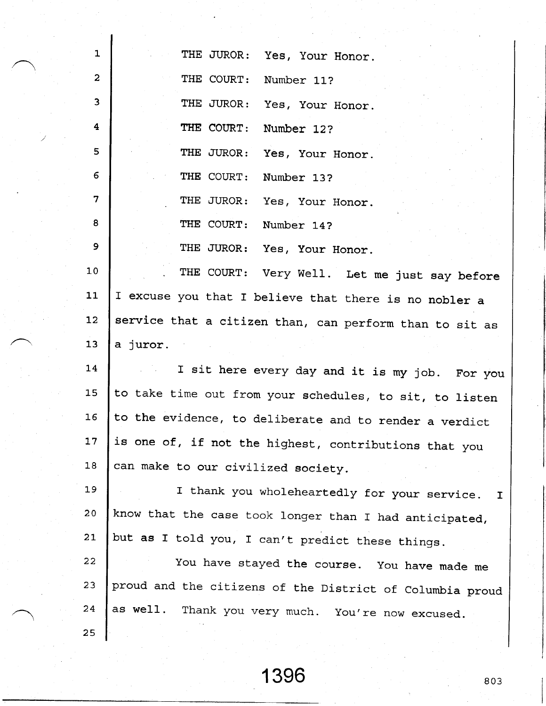| $\mathbf{1}$            | THE JUROR:<br>Yes, Your Honor.                           |
|-------------------------|----------------------------------------------------------|
| $\mathbf{2}$            | THE COURT:<br>Number 11?                                 |
| $\overline{\mathbf{3}}$ | THE JUROR:<br>Yes, Your Honor.                           |
| $\overline{\mathbf{4}}$ | THE COURT:<br>Number 12?                                 |
| 5                       | THE JUROR:<br>Yes, Your Honor.                           |
| 6                       | THE COURT:<br>Number 13?                                 |
| 7                       | THE JUROR:<br>Yes, Your Honor.                           |
| 8                       | THE COURT:<br>Number 14?                                 |
| 9                       | THE JUROR:<br>Yes, Your Honor.                           |
| 10                      | THE COURT: Very Well. Let me just say before             |
| 11                      | I excuse you that I believe that there is no nobler a    |
| 12                      | service that a citizen than, can perform than to sit as  |
| 13                      | a juror.                                                 |
| 14                      | I sit here every day and it is my job. For you           |
| 15                      | to take time out from your schedules, to sit, to listen  |
| 16                      | to the evidence, to deliberate and to render a verdict   |
| 17 <sub>2</sub>         | is one of, if not the highest, contributions that you    |
| 18                      | can make to our civilized society.                       |
| 19                      | I thank you wholeheartedly for your service.<br>I        |
| 20                      | know that the case took longer than I had anticipated,   |
| 21                      | but as I told you, I can't predict these things.         |
| 22                      | You have stayed the course. You have made me             |
| 23                      | proud and the citizens of the District of Columbia proud |
| 24                      | as well.<br>Thank you very much. You're now excused.     |
| 25                      |                                                          |

I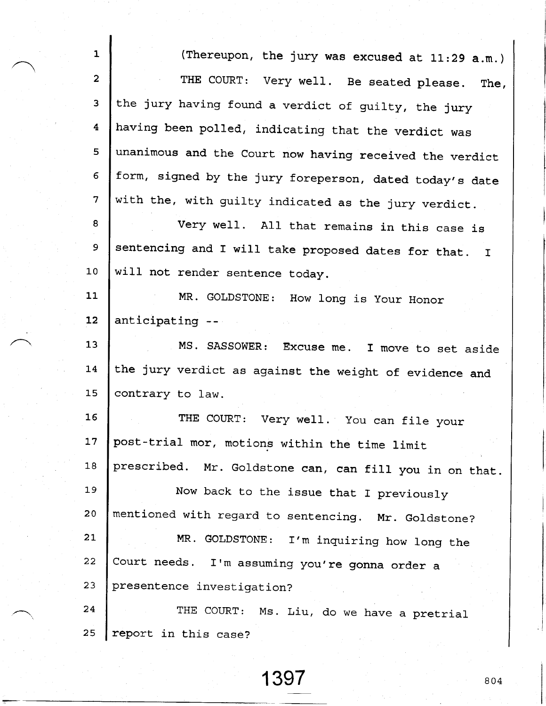| $\mathbf{1}$     | (Thereupon, the jury was excused at 11:29 a.m.)         |
|------------------|---------------------------------------------------------|
| $\mathbf{2}$     | THE COURT: Very well. Be seated please.<br>The,         |
| 3                | the jury having found a verdict of guilty, the jury     |
| $\boldsymbol{4}$ | having been polled, indicating that the verdict was     |
| 5                | unanimous and the Court now having received the verdict |
| $6 \overline{6}$ | form, signed by the jury foreperson, dated today's date |
| 7                | with the, with guilty indicated as the jury verdict.    |
| 8                | Very well. All that remains in this case is             |
| 9                | sentencing and I will take proposed dates for that. I   |
| 10               | will not render sentence today.                         |
| 11               | MR. GOLDSTONE: How long is Your Honor                   |
| 12               | anticipating --                                         |
| 13               | MS. SASSOWER: Excuse me. I move to set aside            |
| 14               | the jury verdict as against the weight of evidence and  |
| 15               | contrary to law.                                        |
| 16 <sub>1</sub>  | THE COURT: Very well. You can file your                 |
| 17               | post-trial mor, motions within the time limit           |
| 18               | prescribed. Mr. Goldstone can, can fill you in on that. |
| 19               | Now back to the issue that I previously                 |
| 20               | mentioned with regard to sentencing. Mr. Goldstone?     |
| 21               | MR. GOLDSTONE:<br>I'm inquiring how long the            |
| 22               | Court needs. I'm assuming you're gonna order a          |
| 23               | presentence investigation?                              |
| 24               | THE COURT: Ms. Liu, do we have a pretrial               |
| 25               | report in this case?                                    |

 $\mathbf{I}$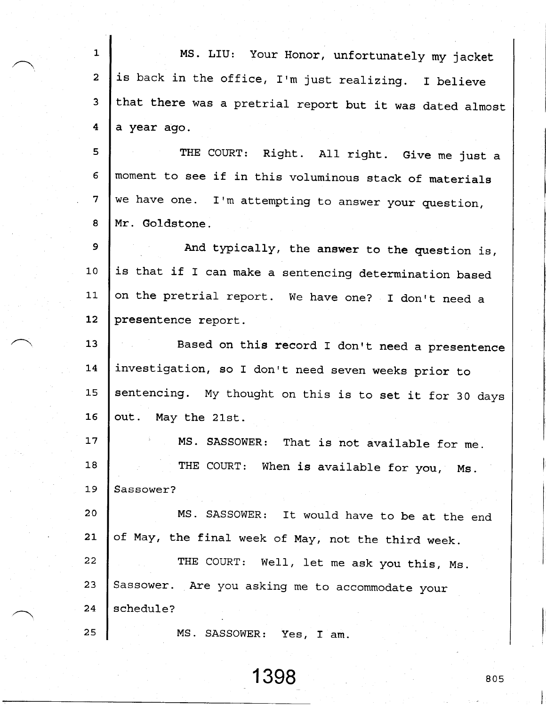| 1                       | MS. LIU: Your Honor, unfortunately my jacket             |
|-------------------------|----------------------------------------------------------|
| $\overline{2}$          | is back in the office, I'm just realizing. I believe     |
| 3                       | that there was a pretrial report but it was dated almost |
| $\overline{\mathbf{4}}$ | a year ago.                                              |
| 5                       | THE COURT: Right. All right. Give me just a              |
| 6                       | moment to see if in this voluminous stack of materials   |
| $\overline{7}$          | we have one. I'm attempting to answer your question,     |
| 8                       | Mr. Goldstone.                                           |
| 9                       | And typically, the answer to the question is,            |
| 10                      | is that if I can make a sentencing determination based   |
| 11                      | on the pretrial report. We have one? I don't need a      |
| 12                      | presentence report.                                      |
| 13                      | Based on this record I don't need a presentence          |
| 14                      | investigation, so I don't need seven weeks prior to      |
| 15                      | sentencing. My thought on this is to set it for 30 days  |
| 16                      | out. May the 21st.                                       |
| 17                      | MS. SASSOWER: That is not available for me.              |
| 18                      | THE COURT: When is available for you, Ms.                |
| 19                      | Sassower?                                                |
| 20                      | MS. SASSOWER: It would have to be at the end             |
| 21                      | of May, the final week of May, not the third week.       |
| 22                      | THE COURT: Well, let me ask you this, Ms.                |
| 23                      | Sassower. Are you asking me to accommodate your          |
| 24                      | schedule?                                                |
| 25                      | MS. SASSOWER:<br>Yes, I am.                              |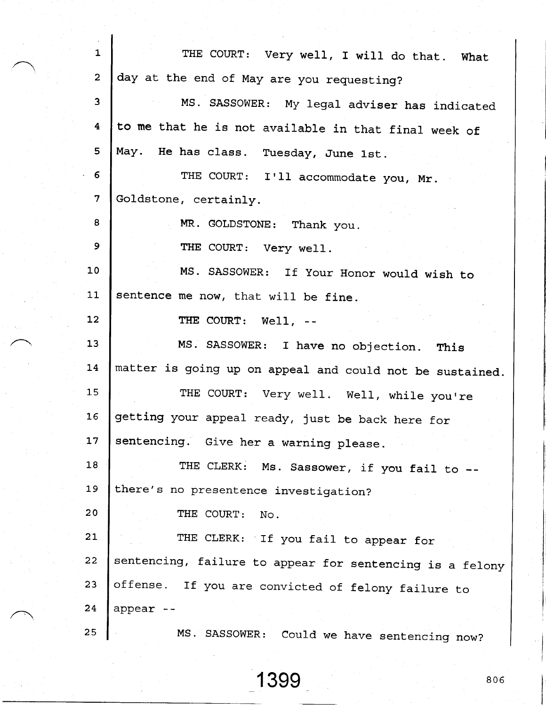|                 | $\mathbf{1}$<br>THE COURT: Very well, I will do that. What     |
|-----------------|----------------------------------------------------------------|
|                 | $\overline{2}$<br>day at the end of May are you requesting?    |
|                 | 3 <sup>1</sup><br>MS. SASSOWER: My legal adviser has indicated |
|                 | to me that he is not available in that final week of<br>4      |
|                 | 5<br>May. He has class. Tuesday, June 1st.                     |
| 6               | THE COURT: I'll accommodate you, Mr.                           |
| $7\phantom{.}$  | Goldstone, certainly.                                          |
| 8               | MR. GOLDSTONE: Thank you.                                      |
| 9               | THE COURT: Very well.                                          |
| 10 <sub>1</sub> | MS. SASSOWER: If Your Honor would wish to                      |
| 11              | sentence me now, that will be fine.                            |
| 12              | THE COURT: Well, --                                            |
| 13              | MS. SASSOWER: I have no objection. This                        |
| 14              | matter is going up on appeal and could not be sustained.       |
| 15              | THE COURT: Very well. Well, while you're                       |
| 16              | getting your appeal ready, just be back here for               |
| 17              | sentencing. Give her a warning please.                         |
| 18              | THE CLERK: Ms. Sassower, if you fail to --                     |
| 19              | there's no presentence investigation?                          |
| 20 <sub>o</sub> | THE COURT:<br>No.                                              |
| 21              | THE CLERK: If you fail to appear for                           |
| 22              | sentencing, failure to appear for sentencing is a felony       |
| 23              | offense.<br>If you are convicted of felony failure to          |
| 24              | appear<br>$\sim$ $\sim$                                        |
| 25              | MS. SASSOWER:<br>Could we have sentencing now?                 |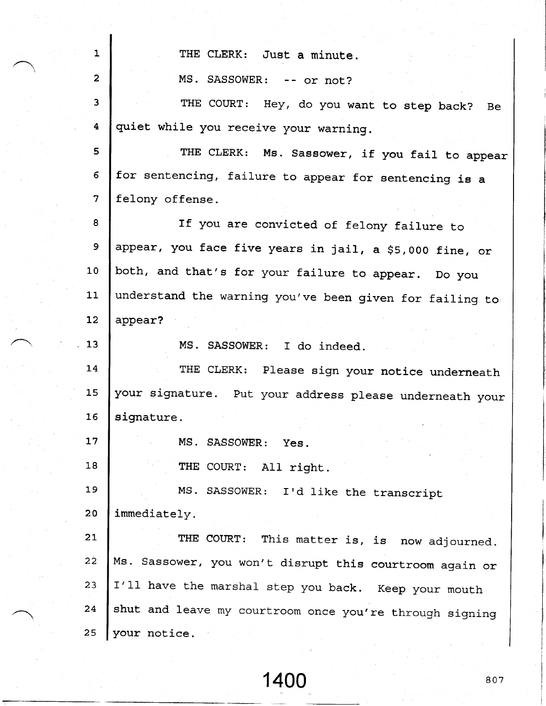| $\mathbf{1}$            | THE CLERK: Just a minute.                               |
|-------------------------|---------------------------------------------------------|
| $\mathbf{2}$            | MS. SASSOWER: -- or not?                                |
| 3                       | THE COURT: Hey, do you want to step back?<br>- Be       |
| $\overline{\mathbf{4}}$ | quiet while you receive your warning.                   |
| 5                       | THE CLERK: Ms. Sassower, if you fail to appear          |
| 6                       | for sentencing, failure to appear for sentencing is a   |
| $\overline{7}$          | felony offense.                                         |
| 8                       | If you are convicted of felony failure to               |
| 9                       | appear, you face five years in jail, a \$5,000 fine, or |
| 10                      | both, and that's for your failure to appear. Do you     |
| 11                      | understand the warning you've been given for failing to |
| 12 <sub>2</sub>         | appear?                                                 |
| 13                      | MS. SASSOWER: I do indeed.                              |
| 14                      | THE CLERK: Please sign your notice underneath           |
| 15                      | your signature. Put your address please underneath your |
| 16                      | signature.                                              |
| 17                      | MS. SASSOWER: Yes.                                      |
| 18                      | THE COURT: All right.                                   |
| 19                      | MS. SASSOWER: I'd like the transcript                   |
| 20                      | immediately.                                            |
| 21                      | THE COURT:<br>This matter is, is now adjourned.         |
| 22                      | Ms. Sassower, you won't disrupt this courtroom again or |
| 23                      | I'll have the marshal step you back. Keep your mouth    |
| 24                      | shut and leave my courtroom once you're through signing |
| 25                      | your notice.                                            |

ł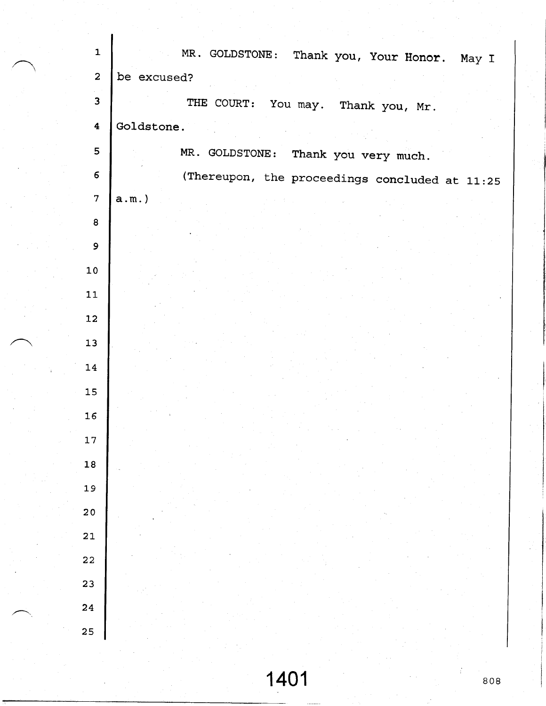| $\mathbf{1}$            | MR. GOLDSTONE: Thank you, Your Honor. May I    |
|-------------------------|------------------------------------------------|
| $\overline{2}$          | be excused?                                    |
| $\overline{\mathbf{3}}$ | THE COURT: You may. Thank you, Mr.             |
| $\overline{\mathbf{4}}$ | Goldstone.                                     |
| 5                       | MR. GOLDSTONE: Thank you very much.            |
| $\boldsymbol{6}$        | (Thereupon, the proceedings concluded at 11:25 |
| $\overline{7}$          | $a.m.$ )                                       |
| 8                       |                                                |
| $\mathbf{9}$            |                                                |
| $10\,$                  |                                                |
| ${\bf 11}$              |                                                |
| 12                      |                                                |
| 13                      |                                                |
| 14                      |                                                |
| 15                      |                                                |
| 16                      |                                                |
| 17                      |                                                |
| 18                      |                                                |
| 19                      |                                                |
| 20                      |                                                |
| 21                      |                                                |
| 22                      |                                                |
| 23                      |                                                |
| 24                      |                                                |
| 25                      |                                                |
|                         |                                                |